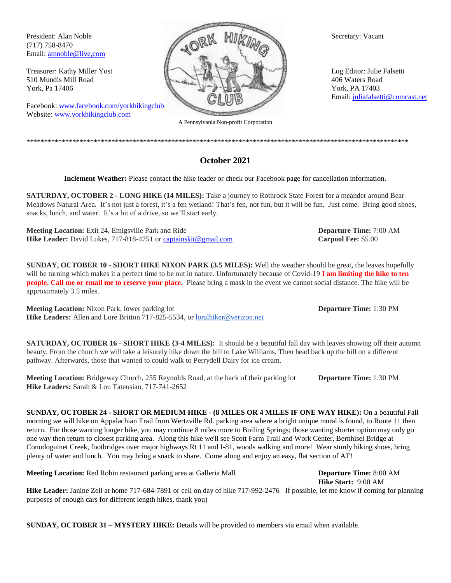(717) 758-8470 Email: [amnoble@live,com](mailto:amnoble38@gmail.com)

Facebook: [www.facebook.com/yorkhikingclub](http://www.facebook.com/yorkhikingclub) Website: www.yorkhikingclub.com



A Pennsylvania Non-profit Corporation

\*\*\*\*\*\*\*\*\*\*\*\*\*\*\*\*\*\*\*\*\*\*\*\*\*\*\*\*\*\*\*\*\*\*\*\*\*\*\*\*\*\*\*\*\*\*\*\*\*\*\*\*\*\*\*\*\*\*\*\*\*\*\*\*\*\*\*\*\*\*\*\*\*\*\*\*\*\*\*\*\*\*\*\*\*\*\*\*\*\*\*\*\*\*\*\*\*\*\*\*\*\*\*\*\*\*\*\*

Email: [juliafalsetti@comcast.net](mailto:juliafalsetti@comcast.net)

**Inclement Weather:** Please contact the hike leader or check our Facebook page for cancellation information.

**October 2021**

**SATURDAY, OCTOBER 2 - LONG HIKE (14 MILES):** Take a journey to Rothrock State Forest for a meander around Bear Meadows Natural Area. It's not just a forest, it's a fen wetland! That's fen, not fun, but it will be fun. Just come. Bring good shoes, snacks, lunch, and water. It's a bit of a drive, so we'll start early.

**Meeting Location:** Exit 24, Emigsville Park and Ride **Departure Time:** 7:00 AM **Hike Leader:** David Lukes, 717-818-4751 o[r captainskit@gmail.com](mailto:captainskit@gmail.com) **Carpool Fee:** \$5.00

**SUNDAY, OCTOBER 10 - SHORT HIKE NIXON PARK (3.5 MILES):** Well the weather should be great, the leaves hopefully will be turning which makes it a perfect time to be out in nature. Unfortunately because of Covid-19 **I am limiting the hike to ten people. Call me or email me to reserve your place.** Please bring a mask in the event we cannot social distance. The hike will be approximately 3.5 miles.

**Meeting Location:** Nixon Park, lower parking lot **Departure Time:** 1:30 PM **Hike Leaders:** Allen and Lore Britton 717-825-5534, or [loralhiker@verizon.net](mailto:loralhiker@verizon.net)

**SATURDAY, OCTOBER 16 - SHORT HIKE {3-4 MILES):** It should be a beautiful fall day with leaves showing off their autumn beauty. From the church we will take a leisurely hike down the hill to Lake Williams. Then head back up the hill on a different pathway. Afterwards, those that wanted to could walk to Perrydell Dairy for ice cream.

**Meeting Location:** Bridgeway Church, 255 Reynolds Road, at the back of their parking lot **Departure Time:** 1:30 PM **Hike Leaders:** Sarah & Lou Tateosian, 717-741-2652

**SUNDAY, OCTOBER 24 - SHORT OR MEDIUM HIKE - (8 MILES OR 4 MILES IF ONE WAY HIKE):** On a beautiful Fall morning we will hike on Appalachian Trail from Wertzville Rd. parking area where a bright unique mural is found, to Route 11 then return. For those wanting longer hike, you may continue 8 miles more to Boiling Springs; those wanting shorter option may only go one way then return to closest parking area. Along this hike we'll see Scott Farm Trail and Work Center, Bernhisel Bridge at Conodoguinet Creek, footbridges over major highways Rt 11 and I-81, woods walking and more! Wear sturdy hiking shoes, bring plenty of water and lunch. You may bring a snack to share. Come along and enjoy an easy, flat section of AT!

**Meeting Location:** Red Robin restaurant parking area at Galleria Mall **Departure Time:** 8:00 AM

**Hike Start:** 9:00 AM

**Hike Leader:** Janine Zell at home 717-684-7891 or cell on day of hike 717-992-2476 If possible, let me know if coming for planning purposes of enough cars for different length hikes, thank you)

**SUNDAY, OCTOBER 31 – MYSTERY HIKE:** Details will be provided to members via email when available.